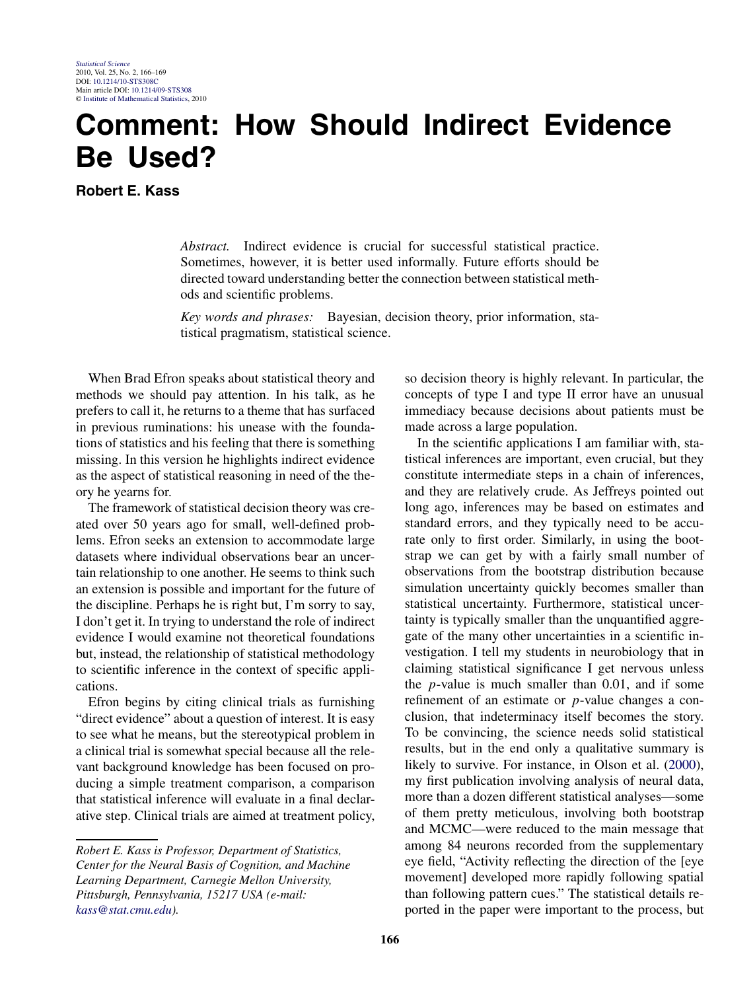## **Comment: How Should Indirect Evidence Be Used?**

**Robert E. Kass**

*Abstract.* Indirect evidence is crucial for successful statistical practice. Sometimes, however, it is better used informally. Future efforts should be directed toward understanding better the connection between statistical methods and scientific problems.

*Key words and phrases:* Bayesian, decision theory, prior information, statistical pragmatism, statistical science.

When Brad Efron speaks about statistical theory and methods we should pay attention. In his talk, as he prefers to call it, he returns to a theme that has surfaced in previous ruminations: his unease with the foundations of statistics and his feeling that there is something missing. In this version he highlights indirect evidence as the aspect of statistical reasoning in need of the theory he yearns for.

The framework of statistical decision theory was created over 50 years ago for small, well-defined problems. Efron seeks an extension to accommodate large datasets where individual observations bear an uncertain relationship to one another. He seems to think such an extension is possible and important for the future of the discipline. Perhaps he is right but, I'm sorry to say, I don't get it. In trying to understand the role of indirect evidence I would examine not theoretical foundations but, instead, the relationship of statistical methodology to scientific inference in the context of specific applications.

Efron begins by citing clinical trials as furnishing "direct evidence" about a question of interest. It is easy to see what he means, but the stereotypical problem in a clinical trial is somewhat special because all the relevant background knowledge has been focused on producing a simple treatment comparison, a comparison that statistical inference will evaluate in a final declarative step. Clinical trials are aimed at treatment policy,

so decision theory is highly relevant. In particular, the concepts of type I and type II error have an unusual immediacy because decisions about patients must be made across a large population.

In the scientific applications I am familiar with, statistical inferences are important, even crucial, but they constitute intermediate steps in a chain of inferences, and they are relatively crude. As Jeffreys pointed out long ago, inferences may be based on estimates and standard errors, and they typically need to be accurate only to first order. Similarly, in using the bootstrap we can get by with a fairly small number of observations from the bootstrap distribution because simulation uncertainty quickly becomes smaller than statistical uncertainty. Furthermore, statistical uncertainty is typically smaller than the unquantified aggregate of the many other uncertainties in a scientific investigation. I tell my students in neurobiology that in claiming statistical significance I get nervous unless the *p*-value is much smaller than 0.01, and if some refinement of an estimate or *p*-value changes a conclusion, that indeterminacy itself becomes the story. To be convincing, the science needs solid statistical results, but in the end only a qualitative summary is likely to survive. For instance, in Olson et al. [\(2000\)](#page-3-0), my first publication involving analysis of neural data, more than a dozen different statistical analyses—some of them pretty meticulous, involving both bootstrap and MCMC—were reduced to the main message that among 84 neurons recorded from the supplementary eye field, "Activity reflecting the direction of the [eye movement] developed more rapidly following spatial than following pattern cues." The statistical details reported in the paper were important to the process, but

*Robert E. Kass is Professor, Department of Statistics, Center for the Neural Basis of Cognition, and Machine Learning Department, Carnegie Mellon University, Pittsburgh, Pennsylvania, 15217 USA (e-mail: [kass@stat.cmu.edu](mailto:kass@stat.cmu.edu)).*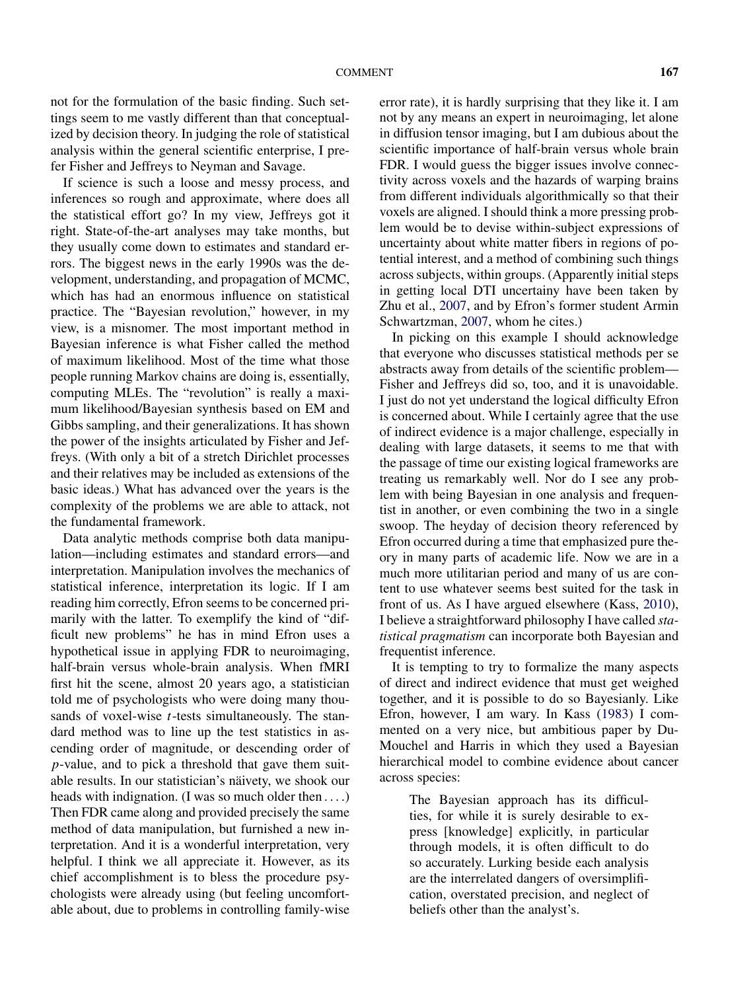not for the formulation of the basic finding. Such settings seem to me vastly different than that conceptualized by decision theory. In judging the role of statistical analysis within the general scientific enterprise, I prefer Fisher and Jeffreys to Neyman and Savage.

If science is such a loose and messy process, and inferences so rough and approximate, where does all the statistical effort go? In my view, Jeffreys got it right. State-of-the-art analyses may take months, but they usually come down to estimates and standard errors. The biggest news in the early 1990s was the development, understanding, and propagation of MCMC, which has had an enormous influence on statistical practice. The "Bayesian revolution," however, in my view, is a misnomer. The most important method in Bayesian inference is what Fisher called the method of maximum likelihood. Most of the time what those people running Markov chains are doing is, essentially, computing MLEs. The "revolution" is really a maximum likelihood/Bayesian synthesis based on EM and Gibbs sampling, and their generalizations. It has shown the power of the insights articulated by Fisher and Jeffreys. (With only a bit of a stretch Dirichlet processes and their relatives may be included as extensions of the basic ideas.) What has advanced over the years is the complexity of the problems we are able to attack, not the fundamental framework.

Data analytic methods comprise both data manipulation—including estimates and standard errors—and interpretation. Manipulation involves the mechanics of statistical inference, interpretation its logic. If I am reading him correctly, Efron seems to be concerned primarily with the latter. To exemplify the kind of "difficult new problems" he has in mind Efron uses a hypothetical issue in applying FDR to neuroimaging, half-brain versus whole-brain analysis. When fMRI first hit the scene, almost 20 years ago, a statistician told me of psychologists who were doing many thousands of voxel-wise *t*-tests simultaneously. The standard method was to line up the test statistics in ascending order of magnitude, or descending order of *p*-value, and to pick a threshold that gave them suitable results. In our statistician's näivety, we shook our heads with indignation. (I was so much older then *....*) Then FDR came along and provided precisely the same method of data manipulation, but furnished a new interpretation. And it is a wonderful interpretation, very helpful. I think we all appreciate it. However, as its chief accomplishment is to bless the procedure psychologists were already using (but feeling uncomfortable about, due to problems in controlling family-wise error rate), it is hardly surprising that they like it. I am not by any means an expert in neuroimaging, let alone in diffusion tensor imaging, but I am dubious about the scientific importance of half-brain versus whole brain FDR. I would guess the bigger issues involve connectivity across voxels and the hazards of warping brains from different individuals algorithmically so that their voxels are aligned. I should think a more pressing problem would be to devise within-subject expressions of uncertainty about white matter fibers in regions of potential interest, and a method of combining such things across subjects, within groups. (Apparently initial steps in getting local DTI uncertainy have been taken by Zhu et al., [2007,](#page-3-0) and by Efron's former student Armin Schwartzman, [2007,](#page-3-0) whom he cites.)

In picking on this example I should acknowledge that everyone who discusses statistical methods per se abstracts away from details of the scientific problem— Fisher and Jeffreys did so, too, and it is unavoidable. I just do not yet understand the logical difficulty Efron is concerned about. While I certainly agree that the use of indirect evidence is a major challenge, especially in dealing with large datasets, it seems to me that with the passage of time our existing logical frameworks are treating us remarkably well. Nor do I see any problem with being Bayesian in one analysis and frequentist in another, or even combining the two in a single swoop. The heyday of decision theory referenced by Efron occurred during a time that emphasized pure theory in many parts of academic life. Now we are in a much more utilitarian period and many of us are content to use whatever seems best suited for the task in front of us. As I have argued elsewhere (Kass, [2010\)](#page-2-0), I believe a straightforward philosophy I have called *statistical pragmatism* can incorporate both Bayesian and frequentist inference.

It is tempting to try to formalize the many aspects of direct and indirect evidence that must get weighed together, and it is possible to do so Bayesianly. Like Efron, however, I am wary. In Kass [\(1983\)](#page-2-0) I commented on a very nice, but ambitious paper by Du-Mouchel and Harris in which they used a Bayesian hierarchical model to combine evidence about cancer across species:

The Bayesian approach has its difficulties, for while it is surely desirable to express [knowledge] explicitly, in particular through models, it is often difficult to do so accurately. Lurking beside each analysis are the interrelated dangers of oversimplification, overstated precision, and neglect of beliefs other than the analyst's.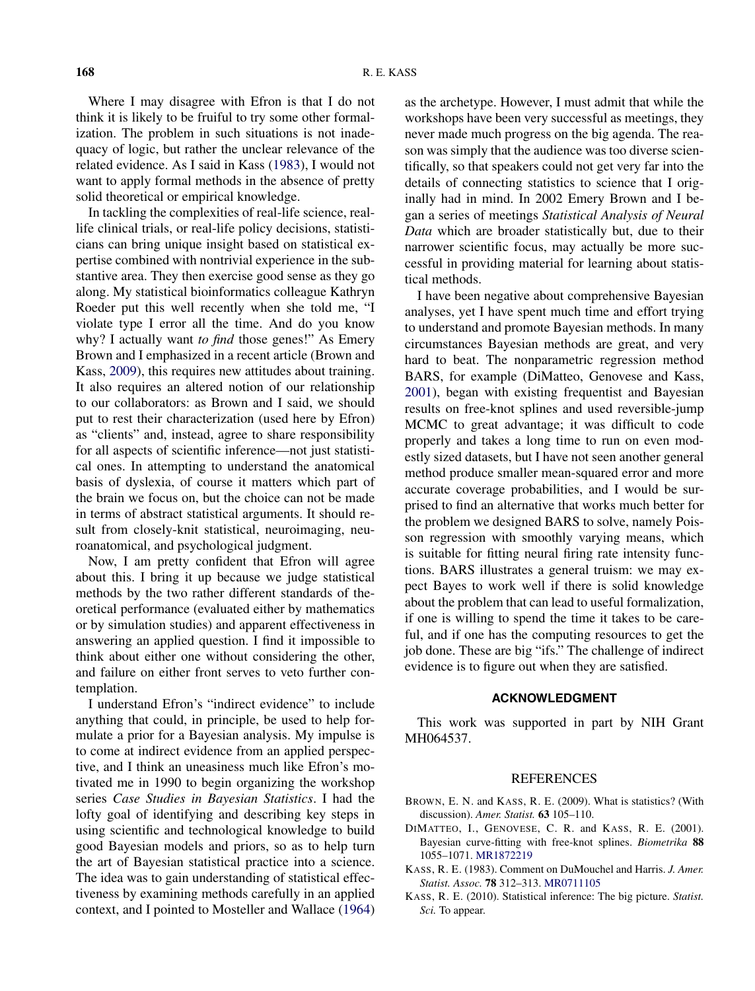<span id="page-2-0"></span>Where I may disagree with Efron is that I do not think it is likely to be fruiful to try some other formalization. The problem in such situations is not inadequacy of logic, but rather the unclear relevance of the related evidence. As I said in Kass (1983), I would not want to apply formal methods in the absence of pretty solid theoretical or empirical knowledge.

In tackling the complexities of real-life science, reallife clinical trials, or real-life policy decisions, statisticians can bring unique insight based on statistical expertise combined with nontrivial experience in the substantive area. They then exercise good sense as they go along. My statistical bioinformatics colleague Kathryn Roeder put this well recently when she told me, "I violate type I error all the time. And do you know why? I actually want *to find* those genes!" As Emery Brown and I emphasized in a recent article (Brown and Kass, 2009), this requires new attitudes about training. It also requires an altered notion of our relationship to our collaborators: as Brown and I said, we should put to rest their characterization (used here by Efron) as "clients" and, instead, agree to share responsibility for all aspects of scientific inference—not just statistical ones. In attempting to understand the anatomical basis of dyslexia, of course it matters which part of the brain we focus on, but the choice can not be made in terms of abstract statistical arguments. It should result from closely-knit statistical, neuroimaging, neuroanatomical, and psychological judgment.

Now, I am pretty confident that Efron will agree about this. I bring it up because we judge statistical methods by the two rather different standards of theoretical performance (evaluated either by mathematics or by simulation studies) and apparent effectiveness in answering an applied question. I find it impossible to think about either one without considering the other, and failure on either front serves to veto further contemplation.

I understand Efron's "indirect evidence" to include anything that could, in principle, be used to help formulate a prior for a Bayesian analysis. My impulse is to come at indirect evidence from an applied perspective, and I think an uneasiness much like Efron's motivated me in 1990 to begin organizing the workshop series *Case Studies in Bayesian Statistics*. I had the lofty goal of identifying and describing key steps in using scientific and technological knowledge to build good Bayesian models and priors, so as to help turn the art of Bayesian statistical practice into a science. The idea was to gain understanding of statistical effectiveness by examining methods carefully in an applied context, and I pointed to Mosteller and Wallace [\(1964\)](#page-3-0) as the archetype. However, I must admit that while the workshops have been very successful as meetings, they never made much progress on the big agenda. The reason was simply that the audience was too diverse scientifically, so that speakers could not get very far into the details of connecting statistics to science that I originally had in mind. In 2002 Emery Brown and I began a series of meetings *Statistical Analysis of Neural Data* which are broader statistically but, due to their narrower scientific focus, may actually be more successful in providing material for learning about statistical methods.

I have been negative about comprehensive Bayesian analyses, yet I have spent much time and effort trying to understand and promote Bayesian methods. In many circumstances Bayesian methods are great, and very hard to beat. The nonparametric regression method BARS, for example (DiMatteo, Genovese and Kass, 2001), began with existing frequentist and Bayesian results on free-knot splines and used reversible-jump MCMC to great advantage; it was difficult to code properly and takes a long time to run on even modestly sized datasets, but I have not seen another general method produce smaller mean-squared error and more accurate coverage probabilities, and I would be surprised to find an alternative that works much better for the problem we designed BARS to solve, namely Poisson regression with smoothly varying means, which is suitable for fitting neural firing rate intensity functions. BARS illustrates a general truism: we may expect Bayes to work well if there is solid knowledge about the problem that can lead to useful formalization, if one is willing to spend the time it takes to be careful, and if one has the computing resources to get the job done. These are big "ifs." The challenge of indirect evidence is to figure out when they are satisfied.

## **ACKNOWLEDGMENT**

This work was supported in part by NIH Grant MH064537.

## REFERENCES

- BROWN, E. N. and KASS, R. E. (2009). What is statistics? (With discussion). *Amer. Statist.* **63** 105–110.
- DIMATTEO, I., GENOVESE, C. R. and KASS, R. E. (2001). Bayesian curve-fitting with free-knot splines. *Biometrika* **88** 1055–1071. [MR1872219](http://www.ams.org/mathscinet-getitem?mr=1872219)
- KASS, R. E. (1983). Comment on DuMouchel and Harris. *J. Amer. Statist. Assoc.* **78** 312–313. [MR0711105](http://www.ams.org/mathscinet-getitem?mr=0711105)
- KASS, R. E. (2010). Statistical inference: The big picture. *Statist. Sci.* To appear.